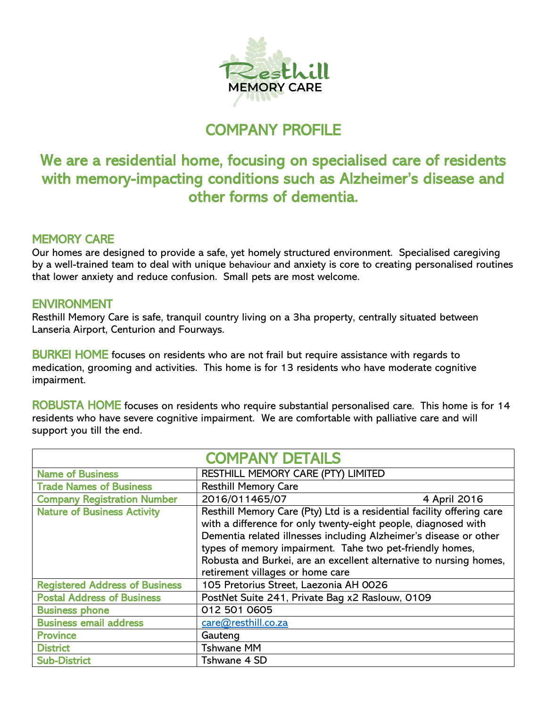

## COMPANY PROFILE

## We are a residential home, focusing on specialised care of residents with memory-impacting conditions such as Alzheimer's disease and other forms of dementia.

## MEMORY CARE

Our homes are designed to provide a safe, yet homely structured environment. Specialised caregiving by a well-trained team to deal with unique behaviour and anxiety is core to creating personalised routines that lower anxiety and reduce confusion. Small pets are most welcome.

## **ENVIRONMENT**

Resthill Memory Care is safe, tranquil country living on a 3ha property, centrally situated between Lanseria Airport, Centurion and Fourways.

BURKEI HOME focuses on residents who are not frail but require assistance with regards to medication, grooming and activities. This home is for 13 residents who have moderate cognitive impairment.

ROBUSTA HOME focuses on residents who require substantial personalised care. This home is for 14 residents who have severe cognitive impairment. We are comfortable with palliative care and will support you till the end.

| <b>COMPANY DETAILS</b>                |                                                                                                                                                                                                                                                                                                                                                                                     |              |
|---------------------------------------|-------------------------------------------------------------------------------------------------------------------------------------------------------------------------------------------------------------------------------------------------------------------------------------------------------------------------------------------------------------------------------------|--------------|
| <b>Name of Business</b>               | RESTHILL MEMORY CARE (PTY) LIMITED                                                                                                                                                                                                                                                                                                                                                  |              |
| <b>Trade Names of Business</b>        | <b>Resthill Memory Care</b>                                                                                                                                                                                                                                                                                                                                                         |              |
| <b>Company Registration Number</b>    | 2016/011465/07                                                                                                                                                                                                                                                                                                                                                                      | 4 April 2016 |
| <b>Nature of Business Activity</b>    | Resthill Memory Care (Pty) Ltd is a residential facility offering care<br>with a difference for only twenty-eight people, diagnosed with<br>Dementia related illnesses including Alzheimer's disease or other<br>types of memory impairment. Tahe two pet-friendly homes,<br>Robusta and Burkei, are an excellent alternative to nursing homes,<br>retirement villages or home care |              |
| <b>Registered Address of Business</b> | 105 Pretorius Street, Laezonia AH 0026                                                                                                                                                                                                                                                                                                                                              |              |
| <b>Postal Address of Business</b>     | PostNet Suite 241, Private Bag x2 Raslouw, 0109                                                                                                                                                                                                                                                                                                                                     |              |
| <b>Business phone</b>                 | 012 501 0605                                                                                                                                                                                                                                                                                                                                                                        |              |
| <b>Business email address</b>         | care@resthill.co.za                                                                                                                                                                                                                                                                                                                                                                 |              |
| <b>Province</b>                       | Gauteng                                                                                                                                                                                                                                                                                                                                                                             |              |
| <b>District</b>                       | <b>Tshwane MM</b>                                                                                                                                                                                                                                                                                                                                                                   |              |
| <b>Sub-District</b>                   | Tshwane 4 SD                                                                                                                                                                                                                                                                                                                                                                        |              |